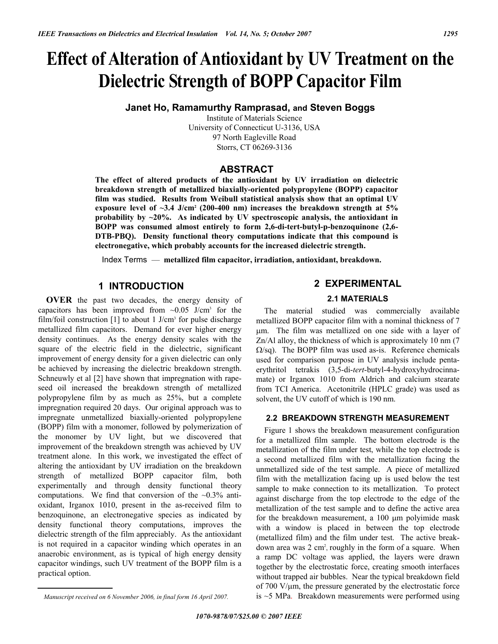# **Effect of Alteration of Antioxidant by UV Treatment on the Dielectric Strength of BOPP Capacitor Film**

**Janet Ho, Ramamurthy Ramprasad, and Steven Boggs** 

Institute of Materials Science University of Connecticut U-3136, USA 97 North Eagleville Road Storrs, CT 06269-3136

# **ABSTRACT**

**The effect of altered products of the antioxidant by UV irradiation on dielectric breakdown strength of metallized biaxially-oriented polypropylene (BOPP) capacitor film was studied. Results from Weibull statistical analysis show that an optimal UV exposure level of ~3.4 J/cm2 (200-400 nm) increases the breakdown strength at 5% probability by ~20%. As indicated by UV spectroscopic analysis, the antioxidant in BOPP was consumed almost entirely to form 2,6-di-tert-butyl-p-benzoquinone (2,6- DTB-PBQ). Density functional theory computations indicate that this compound is electronegative, which probably accounts for the increased dielectric strength.** 

Index Terms — **metallized film capacitor, irradiation, antioxidant, breakdown.**

# **1 INTRODUCTION**

**OVER** the past two decades, the energy density of capacitors has been improved from  $\sim 0.05$  J/cm<sup>3</sup> for the film/foil construction [1] to about 1  $J/cm<sup>3</sup>$  for pulse discharge metallized film capacitors. Demand for ever higher energy density continues. As the energy density scales with the square of the electric field in the dielectric, significant improvement of energy density for a given dielectric can only be achieved by increasing the dielectric breakdown strength. Schneuwly et al [2] have shown that impregnation with rapeseed oil increased the breakdown strength of metallized polypropylene film by as much as 25%, but a complete impregnation required 20 days. Our original approach was to impregnate unmetallized biaxially-oriented polypropylene (BOPP) film with a monomer, followed by polymerization of the monomer by UV light, but we discovered that improvement of the breakdown strength was achieved by UV treatment alone. In this work, we investigated the effect of altering the antioxidant by UV irradiation on the breakdown strength of metallized BOPP capacitor film, both experimentally and through density functional theory computations. We find that conversion of the  $\sim 0.3\%$  antioxidant, Irganox 1010, present in the as-received film to benzoquinone, an electronegative species as indicated by density functional theory computations, improves the dielectric strength of the film appreciably. As the antioxidant is not required in a capacitor winding which operates in an anaerobic environment, as is typical of high energy density capacitor windings, such UV treatment of the BOPP film is a practical option.

#### **2.1 MATERIALS**

The material studied was commercially available metallized BOPP capacitor film with a nominal thickness of 7 μm. The film was metallized on one side with a layer of Zn/Al alloy, the thickness of which is approximately 10 nm (7  $\Omega$ /sq). The BOPP film was used as-is. Reference chemicals used for comparison purpose in UV analysis include pentaerythritol tetrakis (3,5-di-*tert*-butyl-4-hydroxyhydrocinnamate) or Irganox 1010 from Aldrich and calcium stearate from TCI America. Acetonitrile (HPLC grade) was used as solvent, the UV cutoff of which is 190 nm.

#### **2.2 BREAKDOWN STRENGTH MEASUREMENT**

Figure 1 shows the breakdown measurement configuration for a metallized film sample. The bottom electrode is the metallization of the film under test, while the top electrode is a second metallized film with the metallization facing the unmetallized side of the test sample. A piece of metallized film with the metallization facing up is used below the test sample to make connection to its metallization. To protect against discharge from the top electrode to the edge of the metallization of the test sample and to define the active area for the breakdown measurement, a 100 μm polyimide mask with a window is placed in between the top electrode (metallized film) and the film under test. The active breakdown area was 2 cm<sup>2</sup>, roughly in the form of a square. When a ramp DC voltage was applied, the layers were drawn together by the electrostatic force, creating smooth interfaces without trapped air bubbles. Near the typical breakdown field of 700 V/μm, the pressure generated by the electrostatic force is  $\sim$  5 MPa. Breakdown measurements were performed using

**<sup>2</sup> EXPERIMENTAL** 

*Manuscript received on 6 November 2006, in final form 16 April 2007.*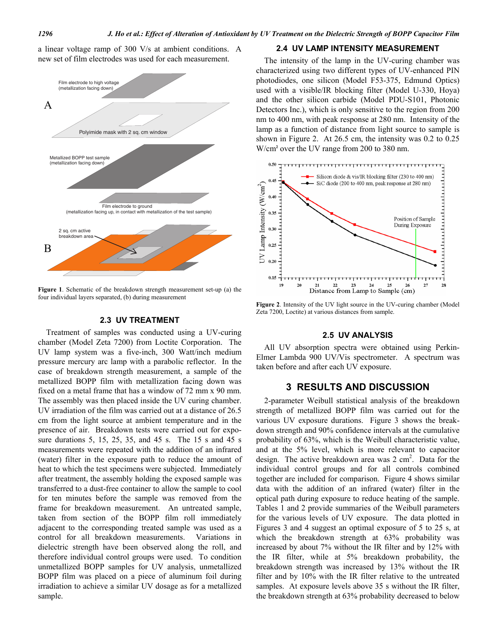a linear voltage ramp of 300 V/s at ambient conditions. A new set of film electrodes was used for each measurement.



**Figure 1**. Schematic of the breakdown strength measurement set-up (a) the four individual layers separated, (b) during measurement

#### **2.3 UV TREATMENT**

Treatment of samples was conducted using a UV-curing chamber (Model Zeta 7200) from Loctite Corporation. The UV lamp system was a five-inch, 300 Watt/inch medium pressure mercury arc lamp with a parabolic reflector. In the case of breakdown strength measurement, a sample of the metallized BOPP film with metallization facing down was fixed on a metal frame that has a window of 72 mm x 90 mm. The assembly was then placed inside the UV curing chamber. UV irradiation of the film was carried out at a distance of 26.5 cm from the light source at ambient temperature and in the presence of air. Breakdown tests were carried out for exposure durations 5, 15, 25, 35, and 45 s. The 15 s and 45 s measurements were repeated with the addition of an infrared (water) filter in the exposure path to reduce the amount of heat to which the test specimens were subjected. Immediately after treatment, the assembly holding the exposed sample was transferred to a dust-free container to allow the sample to cool for ten minutes before the sample was removed from the frame for breakdown measurement. An untreated sample, taken from section of the BOPP film roll immediately adjacent to the corresponding treated sample was used as a control for all breakdown measurements. Variations in dielectric strength have been observed along the roll, and therefore individual control groups were used. To condition unmetallized BOPP samples for UV analysis, unmetallized BOPP film was placed on a piece of aluminum foil during irradiation to achieve a similar UV dosage as for a metallized sample.

#### **2.4 UV LAMP INTENSITY MEASUREMENT**

The intensity of the lamp in the UV-curing chamber was characterized using two different types of UV-enhanced PIN photodiodes, one silicon (Model F53-375, Edmund Optics) used with a visible/IR blocking filter (Model U-330, Hoya) and the other silicon carbide (Model PDU-S101, Photonic Detectors Inc.), which is only sensitive to the region from 200 nm to 400 nm, with peak response at 280 nm. Intensity of the lamp as a function of distance from light source to sample is shown in Figure 2. At 26.5 cm, the intensity was 0.2 to 0.25 W/cm<sup>2</sup> over the UV range from 200 to 380 nm.



**Figure 2**. Intensity of the UV light source in the UV-curing chamber (Model Zeta 7200, Loctite) at various distances from sample.

### **2.5 UV ANALYSIS**

All UV absorption spectra were obtained using Perkin-Elmer Lambda 900 UV/Vis spectrometer. A spectrum was taken before and after each UV exposure.

#### **3 RESULTS AND DISCUSSION**

2-parameter Weibull statistical analysis of the breakdown strength of metallized BOPP film was carried out for the various UV exposure durations. Figure 3 shows the breakdown strength and 90% confidence intervals at the cumulative probability of 63%, which is the Weibull characteristic value, and at the 5% level, which is more relevant to capacitor design. The active breakdown area was  $2 \text{ cm}^2$ . Data for the individual control groups and for all controls combined together are included for comparison. Figure 4 shows similar data with the addition of an infrared (water) filter in the optical path during exposure to reduce heating of the sample. Tables 1 and 2 provide summaries of the Weibull parameters for the various levels of UV exposure. The data plotted in Figures 3 and 4 suggest an optimal exposure of 5 to 25 s, at which the breakdown strength at 63% probability was increased by about 7% without the IR filter and by 12% with the IR filter, while at 5% breakdown probability, the breakdown strength was increased by 13% without the IR filter and by 10% with the IR filter relative to the untreated samples. At exposure levels above 35 s without the IR filter, the breakdown strength at 63% probability decreased to below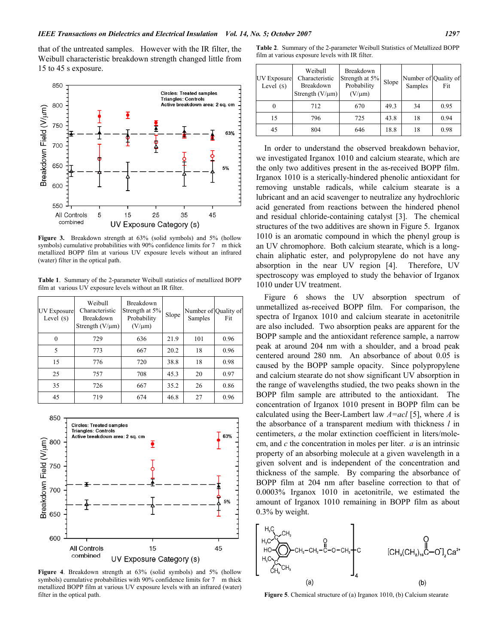that of the untreated samples. However with the IR filter, the Weibull characteristic breakdown strength changed little from 15 to 45 s exposure.



**Figure 3.** Breakdown strength at 63% (solid symbols) and 5% (hollow symbols) cumulative probabilities with 90% confidence limits for 7 m thick metallized BOPP film at various UV exposure levels without an infrared (water) filter in the optical path.

**Table 1**. Summary of the 2-parameter Weibull statistics of metallized BOPP film at various UV exposure levels without an IR filter.

| UV Exposure<br>Level $(s)$ | Weibull<br>Characteristic<br>Breakdown<br>Strength $(V/\mu m)$ | Breakdown<br>Strength at 5%<br>Probability<br>$(V/\mu m)$ | Slope | Number of Quality of<br>Samples | Fit  |
|----------------------------|----------------------------------------------------------------|-----------------------------------------------------------|-------|---------------------------------|------|
| $\theta$                   | 729                                                            | 636                                                       | 21.9  | 101                             | 0.96 |
| 5                          | 773                                                            | 667                                                       | 20.2  | 18                              | 0.96 |
| 15                         | 776                                                            | 720                                                       | 38.8  | 18                              | 0.98 |
| 25                         | 757                                                            | 708                                                       | 45.3  | 20                              | 0.97 |
| 35                         | 726                                                            | 667                                                       | 35.2  | 26                              | 0.86 |
| 45                         | 719                                                            | 674                                                       | 46.8  | 27                              | 0.96 |



**Figure 4**. Breakdown strength at 63% (solid symbols) and 5% (hollow symbols) cumulative probabilities with 90% confidence limits for 7 m thick metallized BOPP film at various UV exposure levels with an infrared (water) filter in the optical path.

**Table 2**. Summary of the 2-parameter Weibull Statistics of Metallized BOPP film at various exposure levels with IR filter.

| <b>UV Exposure</b><br>Level $(s)$ | Weibull<br>Characteristic<br>Breakdown<br>Strength $(V/\mu m)$ | Breakdown<br>Strength at 5%<br>Probability<br>$(V/\mu m)$ | Slope | Number of Quality of<br>Samples | Fit  |
|-----------------------------------|----------------------------------------------------------------|-----------------------------------------------------------|-------|---------------------------------|------|
|                                   | 712                                                            | 670                                                       | 49.3  | 34                              | 0.95 |
| 15                                | 796                                                            | 725                                                       | 43.8  | 18                              | 0.94 |
| 45                                | 804                                                            | 646                                                       | 18.8  | 18                              | 0.98 |

In order to understand the observed breakdown behavior, we investigated Irganox 1010 and calcium stearate, which are the only two additives present in the as-received BOPP film. Irganox 1010 is a sterically-hindered phenolic antioxidant for removing unstable radicals, while calcium stearate is a lubricant and an acid scavenger to neutralize any hydrochloric acid generated from reactions between the hindered phenol and residual chloride-containing catalyst [3]. The chemical structures of the two additives are shown in Figure 5. Irganox 1010 is an aromatic compound in which the phenyl group is an UV chromophore. Both calcium stearate, which is a longchain aliphatic ester, and polypropylene do not have any absorption in the near UV region [4]. Therefore, UV spectroscopy was employed to study the behavior of Irganox 1010 under UV treatment.

Figure 6 shows the UV absorption spectrum of unmetallized as-received BOPP film. For comparison, the spectra of Irganox 1010 and calcium stearate in acetonitrile are also included. Two absorption peaks are apparent for the BOPP sample and the antioxidant reference sample, a narrow peak at around 204 nm with a shoulder, and a broad peak centered around 280 nm. An absorbance of about 0.05 is caused by the BOPP sample opacity. Since polypropylene and calcium stearate do not show significant UV absorption in the range of wavelengths studied, the two peaks shown in the BOPP film sample are attributed to the antioxidant. The concentration of Irganox 1010 present in BOPP film can be calculated using the Beer-Lambert law *A=acl* [5], where *A* is the absorbance of a transparent medium with thickness *l* in centimeters, *a* the molar extinction coefficient in liters/molecm, and *c* the concentration in moles per liter. *a* is an intrinsic property of an absorbing molecule at a given wavelength in a given solvent and is independent of the concentration and thickness of the sample. By comparing the absorbance of BOPP film at 204 nm after baseline correction to that of 0.0003% Irganox 1010 in acetonitrile, we estimated the amount of Irganox 1010 remaining in BOPP film as about 0.3% by weight.



**Figure 5**. Chemical structure of (a) Irganox 1010, (b) Calcium stearate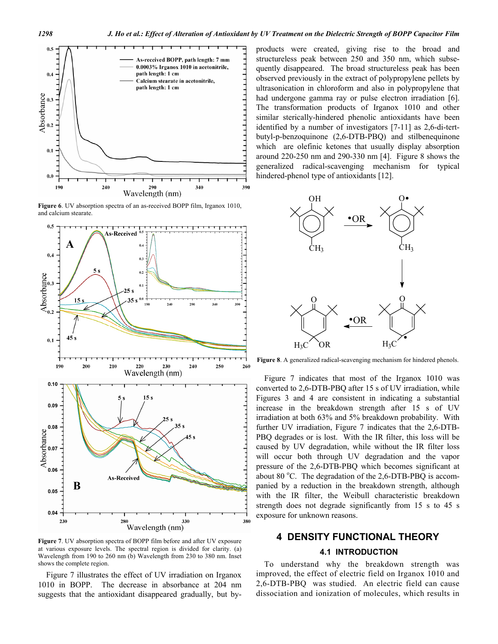

**Figure 6**. UV absorption spectra of an as-received BOPP film, Irganox 1010, and calcium stearate.



**Figure 7**. UV absorption spectra of BOPP film before and after UV exposure at various exposure levels. The spectral region is divided for clarity. (a) Wavelength from 190 to 260 nm (b) Wavelength from 230 to 380 nm. Inset shows the complete region.

Figure 7 illustrates the effect of UV irradiation on Irganox 1010 in BOPP. The decrease in absorbance at 204 nm suggests that the antioxidant disappeared gradually, but byproducts were created, giving rise to the broad and structureless peak between 250 and 350 nm, which subsequently disappeared. The broad structureless peak has been observed previously in the extract of polypropylene pellets by ultrasonication in chloroform and also in polypropylene that had undergone gamma ray or pulse electron irradiation [6]. The transformation products of Irganox 1010 and other similar sterically-hindered phenolic antioxidants have been identified by a number of investigators [7-11] as 2,6-di-tertbutyl-p-benzoquinone (2,6-DTB-PBQ) and stilbenequinone which are olefinic ketones that usually display absorption around 220-250 nm and 290-330 nm [4]. Figure 8 shows the generalized radical-scavenging mechanism for typical hindered-phenol type of antioxidants [12].



**Figure 8**. A generalized radical-scavenging mechanism for hindered phenols.

Figure 7 indicates that most of the Irganox 1010 was converted to 2,6-DTB-PBQ after 15 s of UV irradiation, while Figures 3 and 4 are consistent in indicating a substantial increase in the breakdown strength after 15 s of UV irradiation at both 63% and 5% breakdown probability. With further UV irradiation, Figure 7 indicates that the 2,6-DTB-PBQ degrades or is lost. With the IR filter, this loss will be caused by UV degradation, while without the IR filter loss will occur both through UV degradation and the vapor pressure of the 2,6-DTB-PBQ which becomes significant at about 80 °C. The degradation of the  $2,6$ -DTB-PBQ is accompanied by a reduction in the breakdown strength, although with the IR filter, the Weibull characteristic breakdown strength does not degrade significantly from 15 s to 45 s exposure for unknown reasons.

# **4 DENSITY FUNCTIONAL THEORY 4.1 INTRODUCTION**

To understand why the breakdown strength was improved, the effect of electric field on Irganox 1010 and 2,6-DTB-PBQ was studied. An electric field can cause dissociation and ionization of molecules, which results in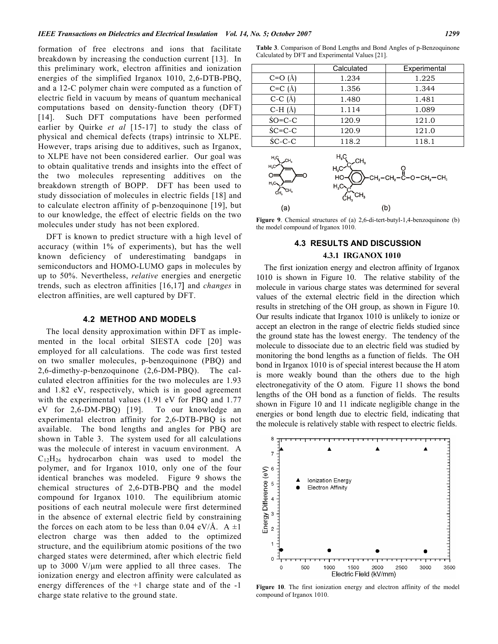formation of free electrons and ions that facilitate breakdown by increasing the conduction current [13]. In this preliminary work, electron affinities and ionization energies of the simplified Irganox 1010, 2,6-DTB-PBQ, and a 12-C polymer chain were computed as a function of electric field in vacuum by means of quantum mechanical computations based on density-function theory (DFT) [14]. Such DFT computations have been performed earlier by Quirke *et al* [15-17] to study the class of physical and chemical defects (traps) intrinsic to XLPE. However, traps arising due to additives, such as Irganox, to XLPE have not been considered earlier. Our goal was to obtain qualitative trends and insights into the effect of the two molecules representing additives on the breakdown strength of BOPP. DFT has been used to study dissociation of molecules in electric fields [18] and to calculate electron affinity of p-benzoquinone [19], but to our knowledge, the effect of electric fields on the two molecules under study has not been explored.

DFT is known to predict structure with a high level of accuracy (within 1% of experiments), but has the well known deficiency of underestimating bandgaps in semiconductors and HOMO-LUMO gaps in molecules by up to 50%. Nevertheless, *relative* energies and energetic trends, such as electron affinities [16,17] and *changes* in electron affinities, are well captured by DFT.

#### **4.2 METHOD AND MODELS**

The local density approximation within DFT as implemented in the local orbital SIESTA code [20] was employed for all calculations. The code was first tested on two smaller molecules, p-benzoquinone (PBQ) and 2,6-dimethy-p-benzoquinone (2,6-DM-PBQ). The calculated electron affinities for the two molecules are 1.93 and 1.82 eV, respectively, which is in good agreement with the experimental values (1.91 eV for PBQ and 1.77 eV for 2,6-DM-PBQ) [19]. To our knowledge an experimental electron affinity for 2,6-DTB-PBQ is not available. The bond lengths and angles for PBQ are shown in Table 3. The system used for all calculations was the molecule of interest in vacuum environment. A  $C_{12}H_{26}$  hydrocarbon chain was used to model the polymer, and for Irganox 1010, only one of the four identical branches was modeled. Figure 9 shows the chemical structures of 2,6-DTB-PBQ and the model compound for Irganox 1010. The equilibrium atomic positions of each neutral molecule were first determined in the absence of external electric field by constraining the forces on each atom to be less than 0.04 eV/Å. A  $\pm 1$ electron charge was then added to the optimized structure, and the equilibrium atomic positions of the two charged states were determined, after which electric field up to 3000 V/μm were applied to all three cases. The ionization energy and electron affinity were calculated as energy differences of the +1 charge state and of the -1 charge state relative to the ground state.

**Table 3**. Comparison of Bond Lengths and Bond Angles of p-Benzoquinone Calculated by DFT and Experimental Values [21].

|               | Calculated           | Experimental |
|---------------|----------------------|--------------|
| $C=O(A)$      | 1.234                | 1.225        |
| $C=C(A)$      | 1.356                | 1.344        |
| $C-C(A)$      | 1.480                | 1.481        |
| $C-H(A)$      | 1.114                | 1.089        |
| $$O=C-C$      | 120.9                | 121.0        |
| $$C=C-C$      | 120.9                | 121.0        |
| ŚC-C-C        | 118.2                | 118.1        |
| $H_3G$<br>CH. | H,Ç                  |              |
| H,C           | $H_{C}$ <sup>C</sup> | റ            |



**Figure 9**. Chemical structures of (a) 2,6-di-tert-butyl-1,4-benzoquinone (b) the model compound of Irganox 1010.

# **4.3 RESULTS AND DISCUSSION 4.3.1 IRGANOX 1010**

The first ionization energy and electron affinity of Irganox 1010 is shown in Figure 10. The relative stability of the molecule in various charge states was determined for several values of the external electric field in the direction which results in stretching of the OH group, as shown in Figure 10. Our results indicate that Irganox 1010 is unlikely to ionize or accept an electron in the range of electric fields studied since the ground state has the lowest energy. The tendency of the molecule to dissociate due to an electric field was studied by monitoring the bond lengths as a function of fields. The OH bond in Irganox 1010 is of special interest because the H atom is more weakly bound than the others due to the high electronegativity of the O atom. Figure 11 shows the bond lengths of the OH bond as a function of fields. The results shown in Figure 10 and 11 indicate negligible change in the energies or bond length due to electric field, indicating that the molecule is relatively stable with respect to electric fields.



**Figure 10**. The first ionization energy and electron affinity of the model compound of Irganox 1010.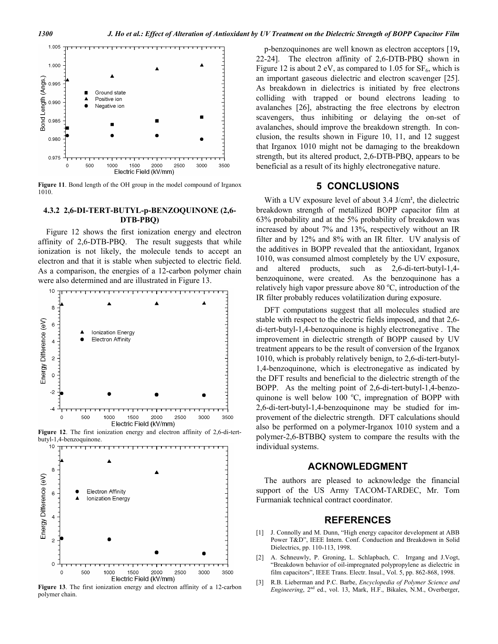

**Figure 11**. Bond length of the OH group in the model compound of Irganox 1010.

#### **4.3.2 2,6-DI-TERT-BUTYL-p-BENZOQUINONE (2,6- DTB-PBQ)**

Figure 12 shows the first ionization energy and electron affinity of 2,6-DTB-PBQ. The result suggests that while ionization is not likely, the molecule tends to accept an electron and that it is stable when subjected to electric field. As a comparison, the energies of a 12-carbon polymer chain were also determined and are illustrated in Figure 13.



**Figure 12**. The first ionization energy and electron affinity of 2,6-di-tertbutyl-1,4-benzoquinone.



**Figure 13**. The first ionization energy and electron affinity of a 12-carbon polymer chain.

p-benzoquinones are well known as electron acceptors [19**,**  22-24]. The electron affinity of 2,6-DTB-PBQ shown in Figure 12 is about 2 eV, as compared to 1.05 for  $SF_6$ , which is an important gaseous dielectric and electron scavenger [25]. As breakdown in dielectrics is initiated by free electrons colliding with trapped or bound electrons leading to avalanches [26], abstracting the free electrons by electron scavengers, thus inhibiting or delaying the on-set of avalanches, should improve the breakdown strength. In conclusion, the results shown in Figure 10, 11, and 12 suggest that Irganox 1010 might not be damaging to the breakdown strength, but its altered product, 2,6-DTB-PBQ, appears to be beneficial as a result of its highly electronegative nature.

# **5 CONCLUSIONS**

With a UV exposure level of about 3.4 J/cm**<sup>2</sup>** , the dielectric breakdown strength of metallized BOPP capacitor film at 63% probability and at the 5% probability of breakdown was increased by about 7% and 13%, respectively without an IR filter and by 12% and 8% with an IR filter. UV analysis of the additives in BOPP revealed that the antioxidant, Irganox 1010, was consumed almost completely by the UV exposure, and altered products, such as 2,6-di-tert-butyl-1,4 benzoquinone, were created. As the benzoquinone has a relatively high vapor pressure above 80 $\degree$ C, introduction of the IR filter probably reduces volatilization during exposure.

DFT computations suggest that all molecules studied are stable with respect to the electric fields imposed, and that 2,6 di-tert-butyl-1,4-benzoquinone is highly electronegative . The improvement in dielectric strength of BOPP caused by UV treatment appears to be the result of conversion of the Irganox 1010, which is probably relatively benign, to 2,6-di-tert-butyl-1,4-benzoquinone, which is electronegative as indicated by the DFT results and beneficial to the dielectric strength of the BOPP. As the melting point of 2,6-di-tert-butyl-1,4-benzoquinone is well below 100 °C, impregnation of BOPP with 2,6-di-tert-butyl-1,4-benzoquinone may be studied for improvement of the dielectric strength. DFT calculations should also be performed on a polymer-Irganox 1010 system and a polymer-2,6-BTBBQ system to compare the results with the individual systems.

# **ACKNOWLEDGMENT**

The authors are pleased to acknowledge the financial support of the US Army TACOM-TARDEC, Mr. Tom Furmaniak technical contract coordinator.

## **REFERENCES**

- [1] J. Connolly and M. Dunn, "High energy capacitor development at ABB Power T&D", IEEE Intern. Conf. Conduction and Breakdown in Solid Dielectrics, pp. 110-113, 1998.
- [2] A. Schneuwly, P. Groning, L. Schlapbach, C. Irrgang and J.Vogt, "Breakdown behavior of oil-impregnated polypropylene as dielectric in film capacitors", IEEE Trans. Electr. Insul., Vol. 5, pp. 862-868, 1998.
- [3] R.B. Lieberman and P.C. Barbe, *Encyclopedia of Polymer Science and Engineering*, 2nd ed., vol. 13, Mark, H.F., Bikales, N.M., Overberger,